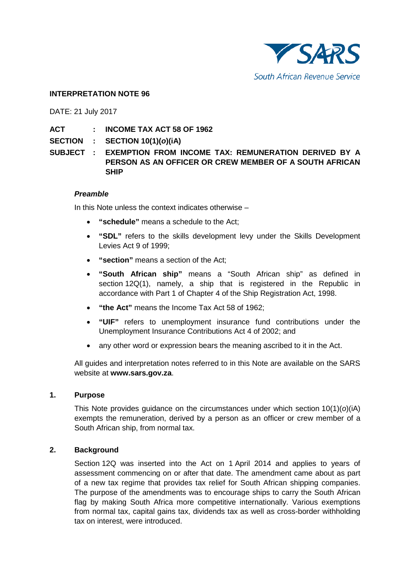

#### **INTERPRETATION NOTE 96**

DATE: 21 July 2017

**ACT : INCOME TAX ACT 58 OF 1962** 

**SECTION : SECTION 10(1)(***o***)(iA)**

**SUBJECT : EXEMPTION FROM INCOME TAX: REMUNERATION DERIVED BY A PERSON AS AN OFFICER OR CREW MEMBER OF A SOUTH AFRICAN SHIP**

#### *Preamble*

In this Note unless the context indicates otherwise –

- **"schedule"** means a schedule to the Act;
- **"SDL"** refers to the skills development levy under the Skills Development Levies Act 9 of 1999;
- **"section"** means a section of the Act;
- **"South African ship"** means a "South African ship" as defined in section 12Q(1), namely, a ship that is registered in the Republic in accordance with Part 1 of Chapter 4 of the Ship Registration Act, 1998.
- **"the Act"** means the Income Tax Act 58 of 1962;
- **"UIF"** refers to unemployment insurance fund contributions under the Unemployment Insurance Contributions Act 4 of 2002; and
- any other word or expression bears the meaning ascribed to it in the Act.

All guides and interpretation notes referred to in this Note are available on the SARS website at **[www.sars.gov.za](http://www.sars.gov.za/)**.

#### **1. Purpose**

This Note provides guidance on the circumstances under which section 10(1)(*o*)(iA) exempts the remuneration, derived by a person as an officer or crew member of a South African ship, from normal tax.

#### **2. Background**

Section 12Q was inserted into the Act on 1 April 2014 and applies to years of assessment commencing on or after that date. The amendment came about as part of a new tax regime that provides tax relief for South African shipping companies. The purpose of the amendments was to encourage ships to carry the South African flag by making South Africa more competitive internationally. Various exemptions from normal tax, capital gains tax, dividends tax as well as cross-border withholding tax on interest, were introduced.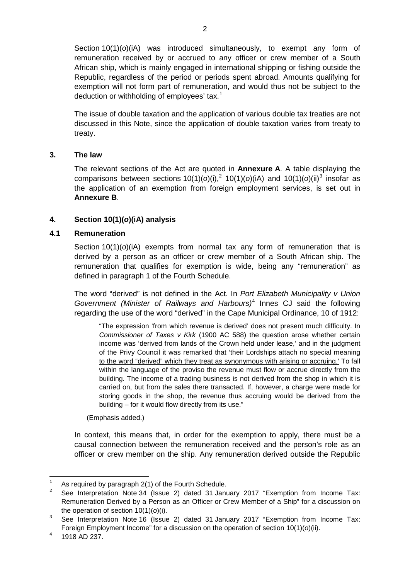Section 10(1)(*o*)(iA) was introduced simultaneously, to exempt any form of remuneration received by or accrued to any officer or crew member of a South African ship, which is mainly engaged in international shipping or fishing outside the Republic, regardless of the period or periods spent abroad. Amounts qualifying for exemption will not form part of remuneration, and would thus not be subject to the deduction or withholding of employees' tax.<sup>[1](#page-1-0)</sup>

The issue of double taxation and the application of various double tax treaties are not discussed in this Note, since the application of double taxation varies from treaty to treaty.

#### **3. The law**

The relevant sections of the Act are quoted in **[Annexure](#page-9-0) A**. A table displaying the comparisons between sections  $10(1)(o)(i)$ ,<sup>[2](#page-1-1)</sup>  $10(1)(o)(i)$  and  $10(1)(o)(ii)^3$  $10(1)(o)(ii)^3$  insofar as the application of an exemption from foreign employment services, is set out in **[Annexure](#page-12-0) B**.

# **4. Section 10(1)(***o***)(iA) analysis**

#### **4.1 Remuneration**

Section 10(1)(*o*)(iA) exempts from normal tax any form of remuneration that is derived by a person as an officer or crew member of a South African ship. The remuneration that qualifies for exemption is wide, being any "remuneration" as defined in paragraph 1 of the Fourth Schedule.

The word "derived" is not defined in the Act. In *Port Elizabeth Municipality v Union Government (Minister of Railways and Harbours)*[4](#page-1-3) Innes CJ said the following regarding the use of the word "derived" in the Cape Municipal Ordinance, 10 of 1912:

"The expression 'from which revenue is derived' does not present much difficulty. In *Commissioner of Taxes v Kirk* (1900 AC 588) the question arose whether certain income was 'derived from lands of the Crown held under lease,' and in the judgment of the Privy Council it was remarked that 'their Lordships attach no special meaning to the word "derived" which they treat as synonymous with arising or accruing.' To fall within the language of the proviso the revenue must flow or accrue directly from the building. The income of a trading business is not derived from the shop in which it is carried on, but from the sales there transacted. If, however, a charge were made for storing goods in the shop, the revenue thus accruing would be derived from the building – for it would flow directly from its use."

(Emphasis added.)

In context, this means that, in order for the exemption to apply, there must be a causal connection between the remuneration received and the person's role as an officer or crew member on the ship. Any remuneration derived outside the Republic

<span id="page-1-0"></span><sup>&</sup>lt;sup>1</sup> As required by paragraph 2(1) of the Fourth Schedule.

<span id="page-1-1"></span><sup>2</sup> See Interpretation Note 34 (Issue 2) dated 31 January 2017 "Exemption from Income Tax: Remuneration Derived by a Person as an Officer or Crew Member of a Ship" for a discussion on the operation of section 10(1)(*o*)(i).

<span id="page-1-2"></span> $3\degree$  See Interpretation Note 16 (Issue 2) dated 31 January 2017 "Exemption from Income Tax: Foreign Employment Income" for a discussion on the operation of section 10(1)(*o*)(ii).

<span id="page-1-3"></span> $4$  1918 AD 237.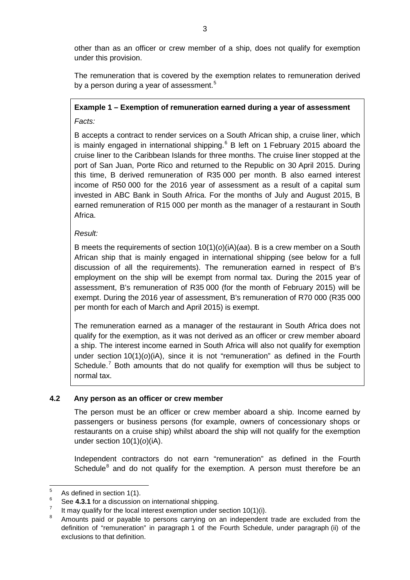other than as an officer or crew member of a ship, does not qualify for exemption under this provision.

The remuneration that is covered by the exemption relates to remuneration derived by a person during a year of assessment.<sup>[5](#page-2-0)</sup>

# **Example 1 – Exemption of remuneration earned during a year of assessment**

*Facts:*

B accepts a contract to render services on a South African ship, a cruise liner, which is mainly engaged in international shipping. [6](#page-2-1) B left on 1 February 2015 aboard the cruise liner to the Caribbean Islands for three months. The cruise liner stopped at the port of San Juan, Porte Rico and returned to the Republic on 30 April 2015. During this time, B derived remuneration of R35 000 per month. B also earned interest income of R50 000 for the 2016 year of assessment as a result of a capital sum invested in ABC Bank in South Africa. For the months of July and August 2015, B earned remuneration of R15 000 per month as the manager of a restaurant in South Africa.

# *Result:*

B meets the requirements of section 10(1)(*o*)(iA)(*aa*). B is a crew member on a South African ship that is mainly engaged in international shipping (see below for a full discussion of all the requirements). The remuneration earned in respect of B's employment on the ship will be exempt from normal tax. During the 2015 year of assessment, B's remuneration of R35 000 (for the month of February 2015) will be exempt. During the 2016 year of assessment, B's remuneration of R70 000 (R35 000 per month for each of March and April 2015) is exempt.

The remuneration earned as a manager of the restaurant in South Africa does not qualify for the exemption, as it was not derived as an officer or crew member aboard a ship. The interest income earned in South Africa will also not qualify for exemption under section 10(1)(*o*)(iA), since it is not "remuneration" as defined in the Fourth Schedule.<sup>[7](#page-2-2)</sup> Both amounts that do not qualify for exemption will thus be subject to normal tax.

# **4.2 Any person as an officer or crew member**

The person must be an officer or crew member aboard a ship. Income earned by passengers or business persons (for example, owners of concessionary shops or restaurants on a cruise ship) whilst aboard the ship will not qualify for the exemption under section 10(1)(*o*)(iA).

Independent contractors do not earn "remuneration" as defined in the Fourth Schedule<sup>[8](#page-2-3)</sup> and do not qualify for the exemption. A person must therefore be an

<span id="page-2-0"></span> $\frac{5}{6}$  As defined in section 1(1).

<span id="page-2-1"></span><sup>&</sup>lt;sup>6</sup> See **4.3.1** for a discussion on international shipping.

<span id="page-2-2"></span><sup>&</sup>lt;sup>7</sup> It may qualify for the local interest exemption under section 10(1)(i).

<span id="page-2-3"></span>Amounts paid or payable to persons carrying on an independent trade are excluded from the definition of "remuneration" in paragraph 1 of the Fourth Schedule, under paragraph (ii) of the exclusions to that definition.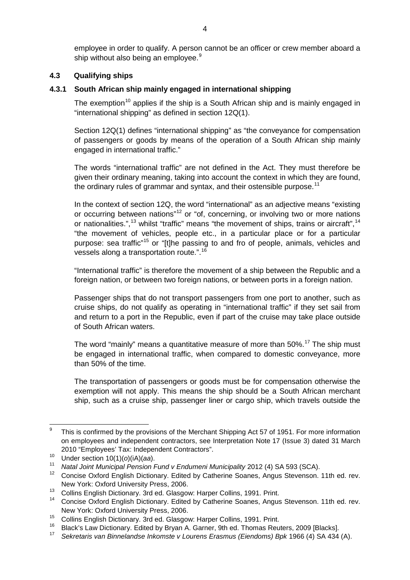employee in order to qualify. A person cannot be an officer or crew member aboard a ship without also being an employee.<sup>[9](#page-3-0)</sup>

#### **4.3 Qualifying ships**

#### <span id="page-3-9"></span>**4.3.1 South African ship mainly engaged in international shipping**

The exemption<sup>[10](#page-3-1)</sup> applies if the ship is a South African ship and is mainly engaged in "international shipping" as defined in section 12Q(1).

Section 12Q(1) defines "international shipping" as "the conveyance for compensation of passengers or goods by means of the operation of a South African ship mainly engaged in international traffic."

The words "international traffic" are not defined in the Act. They must therefore be given their ordinary meaning, taking into account the context in which they are found, the ordinary rules of grammar and syntax, and their ostensible purpose.<sup>[11](#page-3-2)</sup>

In the context of section 12Q, the word "international" as an adjective means "existing or occurring between nations"<sup>[12](#page-3-3)</sup> or "of, concerning, or involving two or more nations or nationalities.",<sup>[13](#page-3-4)</sup> whilst "traffic" means "the movement of ships, trains or aircraft",<sup>[14](#page-3-5)</sup> "the movement of vehicles, people etc., in a particular place or for a particular purpose: sea traffic"<sup>[15](#page-3-6)</sup> or "[t]he passing to and fro of people, animals, vehicles and vessels along a transportation route.".<sup>[16](#page-3-7)</sup>

"International traffic" is therefore the movement of a ship between the Republic and a foreign nation, or between two foreign nations, or between ports in a foreign nation.

Passenger ships that do not transport passengers from one port to another, such as cruise ships, do not qualify as operating in "international traffic" if they set sail from and return to a port in the Republic, even if part of the cruise may take place outside of South African waters.

The word "mainly" means a quantitative measure of more than  $50\%$ .<sup>[17](#page-3-8)</sup> The ship must be engaged in international traffic, when compared to domestic conveyance, more than 50% of the time.

The transportation of passengers or goods must be for compensation otherwise the exemption will not apply. This means the ship should be a South African merchant ship, such as a cruise ship, passenger liner or cargo ship, which travels outside the

<span id="page-3-0"></span><sup>&</sup>lt;sup>9</sup> This is confirmed by the provisions of the Merchant Shipping Act 57 of 1951. For more information on employees and independent contractors, see Interpretation Note 17 (Issue 3) dated 31 March 2010 "Employees' Tax: Independent Contractors".

<span id="page-3-1"></span><sup>10</sup> Under section 10(1)(*o*)(iA)(*aa*).

<span id="page-3-3"></span><span id="page-3-2"></span><sup>11</sup> *Natal Joint Municipal Pension Fund v Endumeni Municipality* 2012 (4) SA 593 (SCA).

<sup>12</sup> Concise Oxford English Dictionary. Edited by Catherine Soanes, Angus Stevenson. 11th ed. rev. New York: Oxford University Press, 2006.

<span id="page-3-5"></span><span id="page-3-4"></span><sup>&</sup>lt;sup>13</sup> Collins English Dictionary. 3rd ed. Glasgow: Harper Collins, 1991. Print.

<sup>14</sup> Concise Oxford English Dictionary. Edited by Catherine Soanes, Angus Stevenson. 11th ed. rev. New York: Oxford University Press, 2006.

<span id="page-3-6"></span><sup>15</sup> Collins English Dictionary. 3rd ed. Glasgow: Harper Collins, 1991. Print.

<span id="page-3-8"></span><span id="page-3-7"></span><sup>&</sup>lt;sup>16</sup> Black's Law Dictionary. Edited by Bryan A. Garner, 9th ed. Thomas Reuters, 2009 [Blacks].

<sup>17</sup> *Sekretaris van Binnelandse Inkomste v Lourens Erasmus (Eiendoms) Bpk* 1966 (4) SA 434 (A).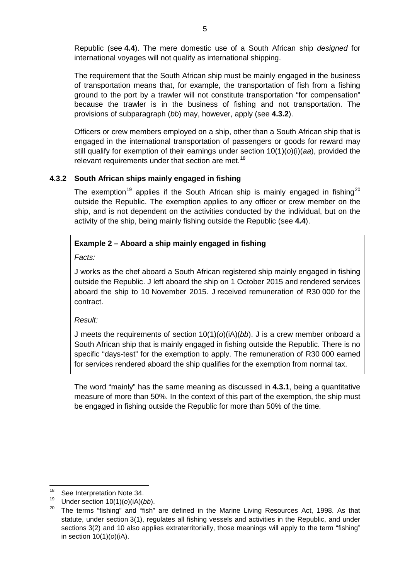Republic (see **[4.4](#page-5-0)**). The mere domestic use of a South African ship *designed* for international voyages will not qualify as international shipping.

The requirement that the South African ship must be mainly engaged in the business of transportation means that, for example, the transportation of fish from a fishing ground to the port by a trawler will not constitute transportation "for compensation" because the trawler is in the business of fishing and not transportation. The provisions of subparagraph (*bb*) may, however, apply (see **[4.3.2](#page-4-0)**).

Officers or crew members employed on a ship, other than a South African ship that is engaged in the international transportation of passengers or goods for reward may still qualify for exemption of their earnings under section 10(1)(*o*)(i)(*aa*), provided the relevant requirements under that section are met.<sup>[18](#page-4-1)</sup>

# <span id="page-4-0"></span>**4.3.2 South African ships mainly engaged in fishing**

The exemption<sup>[19](#page-4-2)</sup> applies if the South African ship is mainly engaged in fishing<sup>[20](#page-4-3)</sup> outside the Republic. The exemption applies to any officer or crew member on the ship, and is not dependent on the activities conducted by the individual, but on the activity of the ship, being mainly fishing outside the Republic (see **[4.4](#page-5-0)**).

# **Example 2 – Aboard a ship mainly engaged in fishing**

*Facts:*

J works as the chef aboard a South African registered ship mainly engaged in fishing outside the Republic. J left aboard the ship on 1 October 2015 and rendered services aboard the ship to 10 November 2015. J received remuneration of R30 000 for the contract.

*Result:*

J meets the requirements of section 10(1)(*o*)(iA)(*bb*). J is a crew member onboard a South African ship that is mainly engaged in fishing outside the Republic. There is no specific "days-test" for the exemption to apply. The remuneration of R30 000 earned for services rendered aboard the ship qualifies for the exemption from normal tax.

The word "mainly" has the same meaning as discussed in **[4.3.1](#page-3-9)**, being a quantitative measure of more than 50%. In the context of this part of the exemption, the ship must be engaged in fishing outside the Republic for more than 50% of the time.

<span id="page-4-1"></span><sup>&</sup>lt;sup>18</sup> See Interpretation Note 34.

<span id="page-4-2"></span><sup>&</sup>lt;sup>19</sup> Under section 10(1)( $o$ )(iA)( $bb$ ).<br><sup>20</sup> The terms "fights" and "fight"

<span id="page-4-3"></span>The terms "fishing" and "fish" are defined in the Marine Living Resources Act, 1998. As that statute, under section 3(1), regulates all fishing vessels and activities in the Republic, and under sections 3(2) and 10 also applies extraterritorially, those meanings will apply to the term "fishing" in section 10(1)(*o*)(iA).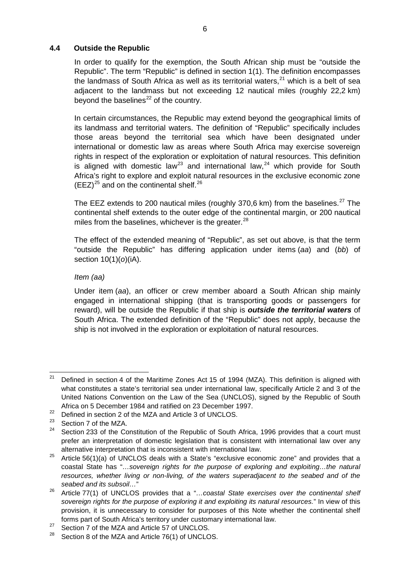# <span id="page-5-0"></span>**4.4 Outside the Republic**

In order to qualify for the exemption, the South African ship must be "outside the Republic". The term "Republic" is defined in section 1(1). The definition encompasses the landmass of South Africa as well as its territorial waters, $^{21}$  $^{21}$  $^{21}$  which is a belt of sea adjacent to the landmass but not exceeding 12 nautical miles (roughly 22,2 km) beyond the baselines<sup> $22$ </sup> of the country.

In certain circumstances, the Republic may extend beyond the geographical limits of its landmass and territorial waters. The definition of "Republic" specifically includes those areas beyond the territorial sea which have been designated under international or domestic law as areas where South Africa may exercise sovereign rights in respect of the exploration or exploitation of natural resources. This definition is aligned with domestic law<sup>[23](#page-5-3)</sup> and international law,<sup>[24](#page-5-4)</sup> which provide for South Africa's right to explore and exploit natural resources in the exclusive economic zone  $(EEZ)^{25}$  $(EEZ)^{25}$  $(EEZ)^{25}$  and on the continental shelf.<sup>[26](#page-5-6)</sup>

The EEZ extends to 200 nautical miles (roughly 370,6 km) from the baselines.<sup>[27](#page-5-7)</sup> The continental shelf extends to the outer edge of the continental margin, or 200 nautical miles from the baselines, whichever is the greater.<sup>[28](#page-5-8)</sup>

The effect of the extended meaning of "Republic", as set out above, is that the term "outside the Republic" has differing application under items (*aa*) and (*bb*) of section 10(1)(*o*)(iA).

#### *Item (aa)*

Under item (*aa*), an officer or crew member aboard a South African ship mainly engaged in international shipping (that is transporting goods or passengers for reward), will be outside the Republic if that ship is *outside the territorial waters* of South Africa. The extended definition of the "Republic" does not apply, because the ship is not involved in the exploration or exploitation of natural resources.

<span id="page-5-1"></span><sup>&</sup>lt;sup>21</sup> Defined in section 4 of the Maritime Zones Act 15 of 1994 (MZA). This definition is aligned with what constitutes a state's territorial sea under international law, specifically Article 2 and 3 of the United Nations Convention on the Law of the Sea (UNCLOS), signed by the Republic of South Africa on 5 December 1984 and ratified on 23 December 1997.

<span id="page-5-2"></span><sup>&</sup>lt;sup>22</sup> Defined in section 2 of the MZA and Article 3 of UNCLOS.<br><sup>23</sup> Dection 7 of the MZA

<span id="page-5-3"></span><sup>&</sup>lt;sup>23</sup> Section 7 of the MZA.<br><sup>24</sup> Section 222 of the Co

<span id="page-5-4"></span>Section 233 of the Constitution of the Republic of South Africa, 1996 provides that a court must prefer an interpretation of domestic legislation that is consistent with international law over any alternative interpretation that is inconsistent with international law.

<span id="page-5-5"></span><sup>&</sup>lt;sup>25</sup> Article 56(1)(a) of UNCLOS deals with a State's "exclusive economic zone" and provides that a coastal State has "*…sovereign rights for the purpose of exploring and exploiting…the natural*  resources, whether living or non-living, of the waters superadjacent to the seabed and of the *seabed and its subsoil…*"

<span id="page-5-6"></span><sup>26</sup> Article 77(1) of UNCLOS provides that a "*…coastal State exercises over the continental shelf sovereign rights for the purpose of exploring it and exploiting its natural resources.*" In view of this provision, it is unnecessary to consider for purposes of this Note whether the continental shelf forms part of South Africa's territory under customary international law.

<span id="page-5-7"></span><sup>&</sup>lt;sup>27</sup> Section 7 of the MZA and Article 57 of UNCLOS.

<span id="page-5-8"></span>Section 8 of the MZA and Article 76(1) of UNCLOS.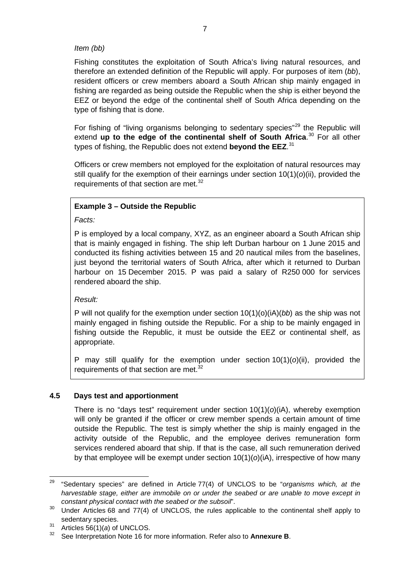### *Item (bb)*

Fishing constitutes the exploitation of South Africa's living natural resources, and therefore an extended definition of the Republic will apply. For purposes of item (*bb*), resident officers or crew members aboard a South African ship mainly engaged in fishing are regarded as being outside the Republic when the ship is either beyond the EEZ or beyond the edge of the continental shelf of South Africa depending on the type of fishing that is done.

For fishing of "living organisms belonging to sedentary species"<sup>[29](#page-6-1)</sup> the Republic will extend **up to the edge of the continental shelf of South Africa**. [30](#page-6-2) For all other types of fishing, the Republic does not extend **beyond the EEZ**. [31](#page-6-3)

<span id="page-6-0"></span>Officers or crew members not employed for the exploitation of natural resources may still qualify for the exemption of their earnings under section 10(1)(*o*)(ii), provided the requirements of that section are met. $32$ 

# **Example 3 – Outside the Republic**

*Facts:*

P is employed by a local company, XYZ, as an engineer aboard a South African ship that is mainly engaged in fishing. The ship left Durban harbour on 1 June 2015 and conducted its fishing activities between 15 and 20 nautical miles from the baselines, just beyond the territorial waters of South Africa, after which it returned to Durban harbour on 15 December 2015. P was paid a salary of R250 000 for services rendered aboard the ship.

#### *Result:*

P will not qualify for the exemption under section  $10(1)(o)(iA)(bb)$  as the ship was not mainly engaged in fishing outside the Republic. For a ship to be mainly engaged in fishing outside the Republic, it must be outside the EEZ or continental shelf, as appropriate.

P may still qualify for the exemption under section 10(1)(*o*)(ii), provided the requirements of that section are met.<sup>[32](#page-6-0)</sup>

#### **4.5 Days test and apportionment**

There is no "days test" requirement under section  $10(1)(o)(i)$ , whereby exemption will only be granted if the officer or crew member spends a certain amount of time outside the Republic. The test is simply whether the ship is mainly engaged in the activity outside of the Republic, and the employee derives remuneration form services rendered aboard that ship. If that is the case, all such remuneration derived by that employee will be exempt under section 10(1)(*o*)(iA), irrespective of how many

<span id="page-6-1"></span><sup>29</sup> "Sedentary species" are defined in Article 77(4) of UNCLOS to be "*organisms which, at the harvestable stage, either are immobile on or under the seabed or are unable to move except in constant physical contact with the seabed or the subsoil*".

<span id="page-6-2"></span> $30$  Under Articles 68 and 77(4) of UNCLOS, the rules applicable to the continental shelf apply to sedentary species.

<span id="page-6-4"></span><span id="page-6-3"></span> $31$  Articles  $56(1)(a)$  of UNCLOS.

<sup>32</sup> See Interpretation Note 16 for more information. Refer also to **Annexure B**.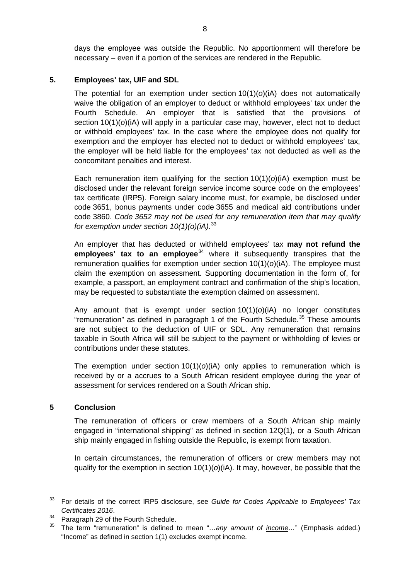days the employee was outside the Republic. No apportionment will therefore be necessary – even if a portion of the services are rendered in the Republic.

#### **5. Employees' tax, UIF and SDL**

The potential for an exemption under section 10(1)(*o*)(iA) does not automatically waive the obligation of an employer to deduct or withhold employees' tax under the Fourth Schedule. An employer that is satisfied that the provisions of section 10(1)(*o*)(iA) will apply in a particular case may, however, elect not to deduct or withhold employees' tax. In the case where the employee does not qualify for exemption and the employer has elected not to deduct or withhold employees' tax, the employer will be held liable for the employees' tax not deducted as well as the concomitant penalties and interest.

Each remuneration item qualifying for the section  $10(1)(o)(i)$  exemption must be disclosed under the relevant foreign service income source code on the employees' tax certificate (IRP5). Foreign salary income must, for example, be disclosed under code 3651, bonus payments under code 3655 and medical aid contributions under code 3860. *Code 3652 may not be used for any remuneration item that may qualify for exemption under section 10(1)(o)(iA)*. [33](#page-7-0)

An employer that has deducted or withheld employees' tax **may not refund the employees' tax to an employee**<sup>[34](#page-7-1)</sup> where it subsequently transpires that the remuneration qualifies for exemption under section 10(1)(*o*)(iA). The employee must claim the exemption on assessment. Supporting documentation in the form of, for example, a passport, an employment contract and confirmation of the ship's location, may be requested to substantiate the exemption claimed on assessment.

Any amount that is exempt under section 10(1)(*o*)(iA) no longer constitutes "remuneration" as defined in paragraph 1 of the Fourth Schedule.<sup>[35](#page-7-2)</sup> These amounts are not subject to the deduction of UIF or SDL. Any remuneration that remains taxable in South Africa will still be subject to the payment or withholding of levies or contributions under these statutes.

The exemption under section 10(1)(*o*)(iA) only applies to remuneration which is received by or a accrues to a South African resident employee during the year of assessment for services rendered on a South African ship.

#### **5 Conclusion**

The remuneration of officers or crew members of a South African ship mainly engaged in "international shipping" as defined in section 12Q(1), or a South African ship mainly engaged in fishing outside the Republic, is exempt from taxation.

In certain circumstances, the remuneration of officers or crew members may not qualify for the exemption in section  $10(1)(o)(i)$ . It may, however, be possible that the

<span id="page-7-0"></span><sup>33</sup> For details of the correct IRP5 disclosure, see *Guide for Codes Applicable to Employees' Tax Certificates 2016*.

<span id="page-7-2"></span><span id="page-7-1"></span><sup>&</sup>lt;sup>34</sup> Paragraph 29 of the Fourth Schedule.

<sup>35</sup> The term "remuneration" is defined to mean "*…any amount of income…*" (Emphasis added.) "Income" as defined in section 1(1) excludes exempt income.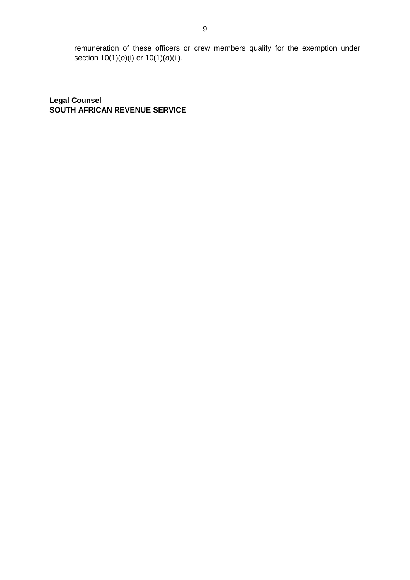remuneration of these officers or crew members qualify for the exemption under section 10(1)(*o*)(i) or 10(1)(*o*)(ii).

**Legal Counsel SOUTH AFRICAN REVENUE SERVICE**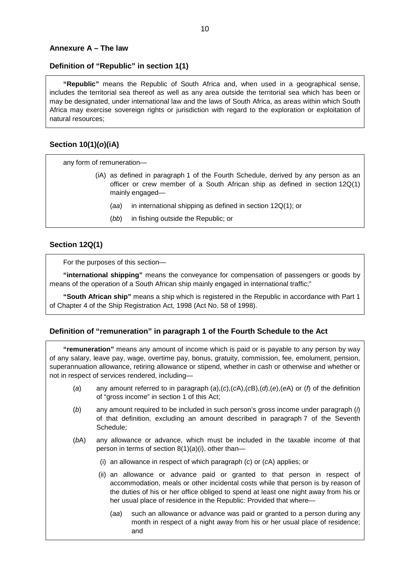#### <span id="page-9-0"></span>**Annexure A – The law**

#### **Definition of "Republic" in section 1(1)**

**"Republic"** means the Republic of South Africa and, when used in a geographical sense, includes the territorial sea thereof as well as any area outside the territorial sea which has been or may be designated, under international law and the laws of South Africa, as areas within which South Africa may exercise sovereign rights or jurisdiction with regard to the exploration or exploitation of natural resources;

#### **Section 10(1)(***o***)(iA)**

any form of remuneration—

- (iA) as defined in paragraph 1 of the Fourth Schedule, derived by any person as an officer or crew member of a South African ship as defined in section 12Q(1) mainly engaged—
	- (*aa*) in international shipping as defined in section 12Q(1); or
	- (*bb*) in fishing outside the Republic; or

#### **Section 12Q(1)**

For the purposes of this section—

**"international shipping"** means the conveyance for compensation of passengers or goods by means of the operation of a South African ship mainly engaged in international traffic;"

**"South African ship"** means a ship which is registered in the Republic in accordance with Part 1 of Chapter 4 of the Ship Registration Act, 1998 (Act No. 58 of 1998).

#### **Definition of "remuneration" in paragraph 1 of the Fourth Schedule to the Act**

**"remuneration"** means any amount of income which is paid or is payable to any person by way of any salary, leave pay, wage, overtime pay, bonus, gratuity, commission, fee, emolument, pension, superannuation allowance, retiring allowance or stipend, whether in cash or otherwise and whether or not in respect of services rendered, including—

- (*a*) any amount referred to in paragraph (*a*),(*c*),(*c*A),(*c*B),(*d*),(*e*),(*e*A) or (*f*) of the definition of "gross income" in section 1 of this Act;
- (*b*) any amount required to be included in such person's gross income under paragraph (*i*) of that definition, excluding an amount described in paragraph 7 of the Seventh Schedule;
- (*b*A) any allowance or advance, which must be included in the taxable income of that person in terms of section 8(1)(*a*)(i), other than—
	- (i) an allowance in respect of which paragraph (*c*) or (*c*A) applies; or
	- (ii) an allowance or advance paid or granted to that person in respect of accommodation, meals or other incidental costs while that person is by reason of the duties of his or her office obliged to spend at least one night away from his or her usual place of residence in the Republic: Provided that where—
		- (*aa*) such an allowance or advance was paid or granted to a person during any month in respect of a night away from his or her usual place of residence; and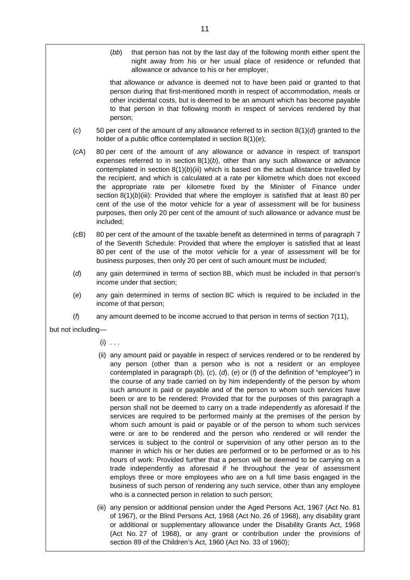(*bb*) that person has not by the last day of the following month either spent the night away from his or her usual place of residence or refunded that allowance or advance to his or her employer,

that allowance or advance is deemed not to have been paid or granted to that person during that first-mentioned month in respect of accommodation, meals or other incidental costs, but is deemed to be an amount which has become payable to that person in that following month in respect of services rendered by that person;

- (*c*) 50 per cent of the amount of any allowance referred to in section 8(1)(*d*) granted to the holder of a public office contemplated in section 8(1)(*e*);
- (*c*A) 80 per cent of the amount of any allowance or advance in respect of transport expenses referred to in section  $8(1)(b)$ , other than any such allowance or advance contemplated in section  $8(1)(b)(iii)$  which is based on the actual distance travelled by the recipient, and which is calculated at a rate per kilometre which does not exceed the appropriate rate per kilometre fixed by the Minister of Finance under section 8(1)(*b*)(iii): Provided that where the employer is satisfied that at least 80 per cent of the use of the motor vehicle for a year of assessment will be for business purposes, then only 20 per cent of the amount of such allowance or advance must be included;
- (*c*B) 80 per cent of the amount of the taxable benefit as determined in terms of paragraph 7 of the Seventh Schedule: Provided that where the employer is satisfied that at least 80 per cent of the use of the motor vehicle for a year of assessment will be for business purposes, then only 20 per cent of such amount must be included;
- (*d*) any gain determined in terms of section 8B, which must be included in that person's income under that section;
- (*e*) any gain determined in terms of section 8C which is required to be included in the income of that person;
- (*f*) any amount deemed to be income accrued to that person in terms of section 7(11),

but not including—

- $(i)$  . . .
- (ii) any amount paid or payable in respect of services rendered or to be rendered by any person (other than a person who is not a resident or an employee contemplated in paragraph (*b*), (*c*), (*d*), (*e*) or (*f*) of the definition of "employee") in the course of any trade carried on by him independently of the person by whom such amount is paid or payable and of the person to whom such services have been or are to be rendered: Provided that for the purposes of this paragraph a person shall not be deemed to carry on a trade independently as aforesaid if the services are required to be performed mainly at the premises of the person by whom such amount is paid or payable or of the person to whom such services were or are to be rendered and the person who rendered or will render the services is subject to the control or supervision of any other person as to the manner in which his or her duties are performed or to be performed or as to his hours of work: Provided further that a person will be deemed to be carrying on a trade independently as aforesaid if he throughout the year of assessment employs three or more employees who are on a full time basis engaged in the business of such person of rendering any such service, other than any employee who is a connected person in relation to such person;
- (iii) any pension or additional pension under the Aged Persons Act, 1967 (Act No. 81 of 1967), or the Blind Persons Act, 1968 (Act No. 26 of 1968), any disability grant or additional or supplementary allowance under the Disability Grants Act, 1968 (Act No. 27 of 1968), or any grant or contribution under the provisions of section 89 of the Children's Act, 1960 (Act No. 33 of 1960);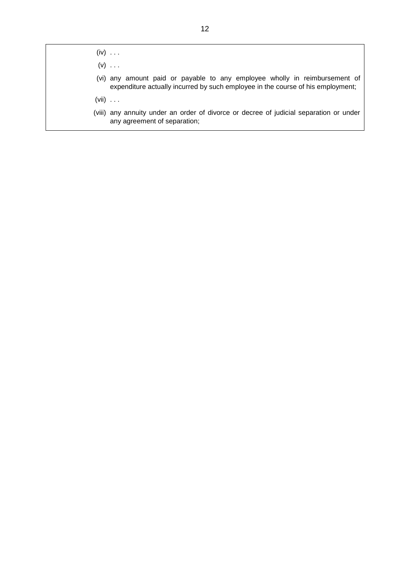$(iv) \dots$ 

 $(v)$  ...

- (vi) any amount paid or payable to any employee wholly in reimbursement of expenditure actually incurred by such employee in the course of his employment;
- (vii) . . .
- (viii) any annuity under an order of divorce or decree of judicial separation or under any agreement of separation;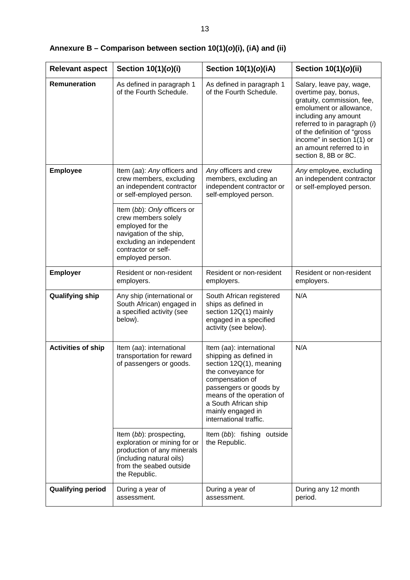| <b>Relevant aspect</b>    | Section 10(1)(o)(i)                                                                                                                                                                                                                                                                         | Section 10(1)(o)(iA)                                                                                                                                                                                                                                                               | Section 10(1)(o)(ii)                                                                                                                                                                                                                                                                 |
|---------------------------|---------------------------------------------------------------------------------------------------------------------------------------------------------------------------------------------------------------------------------------------------------------------------------------------|------------------------------------------------------------------------------------------------------------------------------------------------------------------------------------------------------------------------------------------------------------------------------------|--------------------------------------------------------------------------------------------------------------------------------------------------------------------------------------------------------------------------------------------------------------------------------------|
| <b>Remuneration</b>       | As defined in paragraph 1<br>of the Fourth Schedule.                                                                                                                                                                                                                                        | As defined in paragraph 1<br>of the Fourth Schedule.                                                                                                                                                                                                                               | Salary, leave pay, wage,<br>overtime pay, bonus,<br>gratuity, commission, fee,<br>emolument or allowance,<br>including any amount<br>referred to in paragraph $(i)$<br>of the definition of "gross<br>income" in section 1(1) or<br>an amount referred to in<br>section 8, 8B or 8C. |
| <b>Employee</b>           | Item (aa): Any officers and<br>crew members, excluding<br>an independent contractor<br>or self-employed person.<br>Item (bb): Only officers or<br>crew members solely<br>employed for the<br>navigation of the ship,<br>excluding an independent<br>contractor or self-<br>employed person. | Any officers and crew<br>members, excluding an<br>independent contractor or<br>self-employed person.                                                                                                                                                                               | Any employee, excluding<br>an independent contractor<br>or self-employed person.                                                                                                                                                                                                     |
| <b>Employer</b>           | Resident or non-resident<br>employers.                                                                                                                                                                                                                                                      | Resident or non-resident<br>employers.                                                                                                                                                                                                                                             | Resident or non-resident<br>employers.                                                                                                                                                                                                                                               |
| <b>Qualifying ship</b>    | Any ship (international or<br>South African) engaged in<br>a specified activity (see<br>below).                                                                                                                                                                                             | South African registered<br>ships as defined in<br>section 12Q(1) mainly<br>engaged in a specified<br>activity (see below).                                                                                                                                                        | N/A                                                                                                                                                                                                                                                                                  |
| <b>Activities of ship</b> | Item (aa): international<br>transportation for reward<br>of passengers or goods.<br>Item (bb): prospecting,                                                                                                                                                                                 | Item (aa): international<br>shipping as defined in<br>section 12Q(1), meaning<br>the conveyance for<br>compensation of<br>passengers or goods by<br>means of the operation of<br>a South African ship<br>mainly engaged in<br>international traffic.<br>Item (bb): fishing outside | N/A                                                                                                                                                                                                                                                                                  |
|                           | exploration or mining for or<br>production of any minerals<br>(including natural oils)<br>from the seabed outside<br>the Republic.                                                                                                                                                          | the Republic.                                                                                                                                                                                                                                                                      |                                                                                                                                                                                                                                                                                      |
| <b>Qualifying period</b>  | During a year of<br>assessment.                                                                                                                                                                                                                                                             | During a year of<br>assessment.                                                                                                                                                                                                                                                    | During any 12 month<br>period.                                                                                                                                                                                                                                                       |

# <span id="page-12-0"></span>**Annexure B – Comparison between section 10(1)(***o***)(i), (iA) and (ii)**